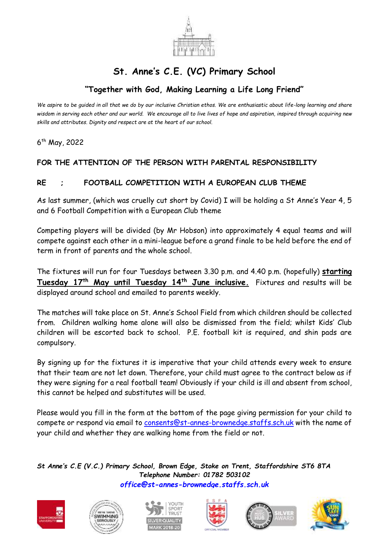

## **St. Anne's C.E. (VC) Primary School**

## **"Together with God, Making Learning a Life Long Friend"**

*We aspire to be guided in all that we do by our inclusive Christian ethos. We are enthusiastic about life-long learning and share wisdom in serving each other and our world. We encourage all to live lives of hope and aspiration, inspired through acquiring new skills and attributes. Dignity and respect are at the heart of our school.*

6 th May, 2022

## **FOR THE ATTENTION OF THE PERSON WITH PARENTAL RESPONSIBILITY**

## **RE ; FOOTBALL COMPETITION WITH A EUROPEAN CLUB THEME**

As last summer, (which was cruelly cut short by Covid) I will be holding a St Anne's Year 4, 5 and 6 Football Competition with a European Club theme

Competing players will be divided (by Mr Hobson) into approximately 4 equal teams and will compete against each other in a mini-league before a grand finale to be held before the end of term in front of parents and the whole school.

The fixtures will run for four Tuesdays between 3.30 p.m. and 4.40 p.m. (hopefully) **starting Tuesday 17th May until Tuesday 14th June inclusive.** Fixtures and results will be displayed around school and emailed to parents weekly.

The matches will take place on St. Anne's School Field from which children should be collected from. Children walking home alone will also be dismissed from the field; whilst Kids' Club children will be escorted back to school. P.E. football kit is required, and shin pads are compulsory.

By signing up for the fixtures it is imperative that your child attends every week to ensure that their team are not let down. Therefore, your child must agree to the contract below as if they were signing for a real football team! Obviously if your child is ill and absent from school, this cannot be helped and substitutes will be used.

Please would you fill in the form at the bottom of the page giving permission for your child to compete or respond via email to [consents@st-annes-brownedge.staffs.sch.uk](mailto:consents@st-annes-brownedge.staffs.sch.uk) with the name of your child and whether they are walking home from the field or not.

*St Anne's C.E (V.C.) Primary School, Brown Edge, Stoke on Trent, Staffordshire ST6 8TA Telephone Number: 01782 503102 [office@st-annes-brownedge.staffs.sch.uk](mailto:office@st-annes-brownedge.staffs.sch.uk)*